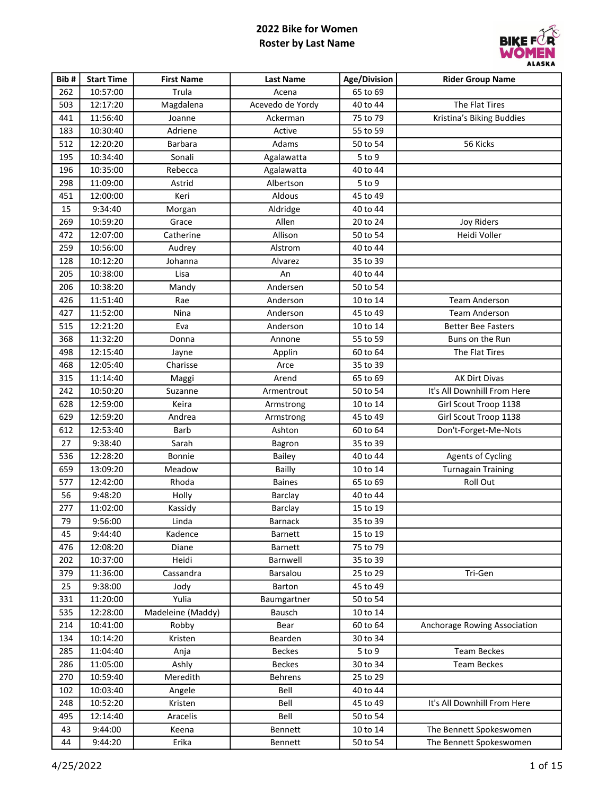

| Bib# | <b>Start Time</b> | <b>First Name</b> | <b>Last Name</b> | Age/Division | <b>Rider Group Name</b>      |
|------|-------------------|-------------------|------------------|--------------|------------------------------|
| 262  | 10:57:00          | Trula             | Acena            | 65 to 69     |                              |
| 503  | 12:17:20          | Magdalena         | Acevedo de Yordy | 40 to 44     | The Flat Tires               |
| 441  | 11:56:40          | Joanne            | Ackerman         | 75 to 79     | Kristina's Biking Buddies    |
| 183  | 10:30:40          | Adriene           | Active           | 55 to 59     |                              |
| 512  | 12:20:20          | <b>Barbara</b>    | Adams            | 50 to 54     | 56 Kicks                     |
| 195  | 10:34:40          | Sonali            | Agalawatta       | 5 to 9       |                              |
| 196  | 10:35:00          | Rebecca           | Agalawatta       | 40 to 44     |                              |
| 298  | 11:09:00          | Astrid            | Albertson        | 5 to 9       |                              |
| 451  | 12:00:00          | Keri              | Aldous           | 45 to 49     |                              |
| 15   | 9:34:40           | Morgan            | Aldridge         | 40 to 44     |                              |
| 269  | 10:59:20          | Grace             | Allen            | 20 to 24     | <b>Joy Riders</b>            |
| 472  | 12:07:00          | Catherine         | Allison          | 50 to 54     | Heidi Voller                 |
| 259  | 10:56:00          | Audrey            | Alstrom          | 40 to 44     |                              |
| 128  | 10:12:20          | Johanna           | Alvarez          | 35 to 39     |                              |
| 205  | 10:38:00          | Lisa              | An               | 40 to 44     |                              |
| 206  | 10:38:20          | Mandy             | Andersen         | 50 to 54     |                              |
| 426  | 11:51:40          | Rae               | Anderson         | 10 to 14     | <b>Team Anderson</b>         |
| 427  | 11:52:00          | Nina              | Anderson         | 45 to 49     | <b>Team Anderson</b>         |
| 515  | 12:21:20          | Eva               | Anderson         | 10 to 14     | <b>Better Bee Fasters</b>    |
| 368  | 11:32:20          | Donna             | Annone           | 55 to 59     | Buns on the Run              |
| 498  | 12:15:40          | Jayne             | Applin           | 60 to 64     | The Flat Tires               |
| 468  | 12:05:40          | Charisse          | Arce             | 35 to 39     |                              |
| 315  | 11:14:40          | Maggi             | Arend            | 65 to 69     | AK Dirt Divas                |
| 242  | 10:50:20          | Suzanne           | Armentrout       | 50 to 54     | It's All Downhill From Here  |
| 628  | 12:59:00          | Keira             | Armstrong        | 10 to 14     | Girl Scout Troop 1138        |
| 629  | 12:59:20          | Andrea            | Armstrong        | 45 to 49     | Girl Scout Troop 1138        |
| 612  | 12:53:40          | <b>Barb</b>       | Ashton           | 60 to 64     | Don't-Forget-Me-Nots         |
| 27   | 9:38:40           | Sarah             | Bagron           | 35 to 39     |                              |
| 536  | 12:28:20          | Bonnie            | <b>Bailey</b>    | 40 to 44     | <b>Agents of Cycling</b>     |
| 659  | 13:09:20          | Meadow            | <b>Bailly</b>    | 10 to 14     | <b>Turnagain Training</b>    |
| 577  | 12:42:00          | Rhoda             | <b>Baines</b>    | 65 to 69     | Roll Out                     |
| 56   | 9:48:20           | Holly             | Barclay          | 40 to 44     |                              |
| 277  | 11:02:00          | Kassidy           | Barclay          | 15 to 19     |                              |
| 79   | 9:56:00           | Linda             | <b>Barnack</b>   | 35 to 39     |                              |
| 45   | 9:44:40           | Kadence           | Barnett          | 15 to 19     |                              |
| 476  | 12:08:20          | Diane             | Barnett          | 75 to 79     |                              |
| 202  | 10:37:00          | Heidi             | Barnwell         | 35 to 39     |                              |
| 379  | 11:36:00          | Cassandra         | Barsalou         | 25 to 29     | Tri-Gen                      |
| 25   | 9:38:00           | Jody              | Barton           | 45 to 49     |                              |
| 331  | 11:20:00          | Yulia             | Baumgartner      | 50 to 54     |                              |
| 535  | 12:28:00          | Madeleine (Maddy) | Bausch           | 10 to 14     |                              |
| 214  | 10:41:00          | Robby             | Bear             | 60 to 64     | Anchorage Rowing Association |
| 134  | 10:14:20          | Kristen           | Bearden          | 30 to 34     |                              |
| 285  | 11:04:40          | Anja              | <b>Beckes</b>    | $5$ to $9$   | <b>Team Beckes</b>           |
| 286  | 11:05:00          | Ashly             | <b>Beckes</b>    | 30 to 34     | <b>Team Beckes</b>           |
| 270  | 10:59:40          | Meredith          | Behrens          | 25 to 29     |                              |
| 102  | 10:03:40          | Angele            | Bell             | 40 to 44     |                              |
| 248  | 10:52:20          | Kristen           | Bell             | 45 to 49     | It's All Downhill From Here  |
| 495  | 12:14:40          | Aracelis          | Bell             | 50 to 54     |                              |
| 43   | 9:44:00           | Keena             | Bennett          | 10 to 14     | The Bennett Spokeswomen      |
| 44   | 9:44:20           | Erika             | Bennett          | 50 to 54     | The Bennett Spokeswomen      |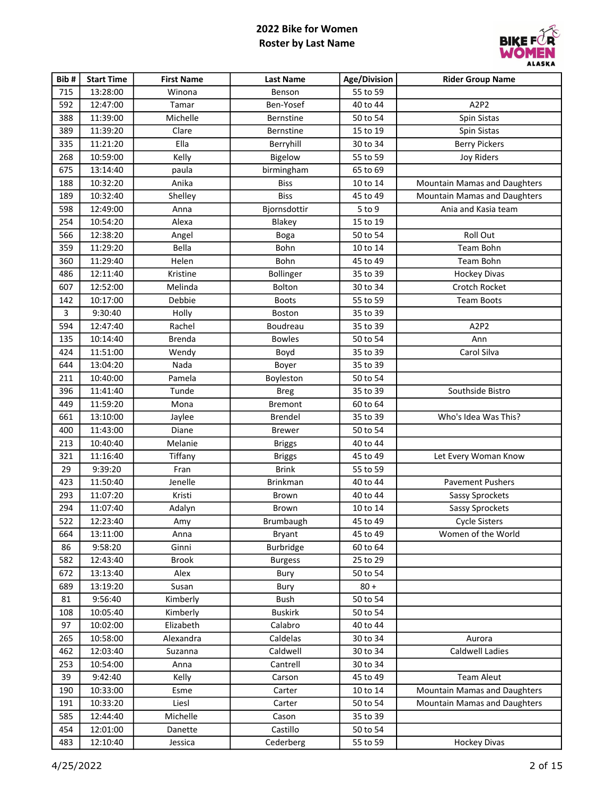

| Bib# | <b>Start Time</b> | <b>First Name</b> | <b>Last Name</b> | Age/Division | <b>Rider Group Name</b>             |
|------|-------------------|-------------------|------------------|--------------|-------------------------------------|
| 715  | 13:28:00          | Winona            | Benson           | 55 to 59     |                                     |
| 592  | 12:47:00          | Tamar             | Ben-Yosef        | 40 to 44     | A2P2                                |
| 388  | 11:39:00          | Michelle          | <b>Bernstine</b> | 50 to 54     | Spin Sistas                         |
| 389  | 11:39:20          | Clare             | <b>Bernstine</b> | 15 to 19     | Spin Sistas                         |
| 335  | 11:21:20          | Ella              | Berryhill        | 30 to 34     | <b>Berry Pickers</b>                |
| 268  | 10:59:00          | Kelly             | Bigelow          | 55 to 59     | <b>Joy Riders</b>                   |
| 675  | 13:14:40          | paula             | birmingham       | 65 to 69     |                                     |
| 188  | 10:32:20          | Anika             | <b>Biss</b>      | 10 to 14     | Mountain Mamas and Daughters        |
| 189  | 10:32:40          | Shelley           | <b>Biss</b>      | 45 to 49     | Mountain Mamas and Daughters        |
| 598  | 12:49:00          | Anna              | Bjornsdottir     | 5 to 9       | Ania and Kasia team                 |
| 254  | 10:54:20          | Alexa             | Blakey           | 15 to 19     |                                     |
| 566  | 12:38:20          | Angel             | <b>Boga</b>      | 50 to 54     | Roll Out                            |
| 359  | 11:29:20          | Bella             | Bohn             | 10 to 14     | Team Bohn                           |
| 360  | 11:29:40          | Helen             | Bohn             | 45 to 49     | Team Bohn                           |
| 486  | 12:11:40          | Kristine          | Bollinger        | 35 to 39     | <b>Hockey Divas</b>                 |
| 607  | 12:52:00          | Melinda           | Bolton           | 30 to 34     | Crotch Rocket                       |
| 142  | 10:17:00          | Debbie            | <b>Boots</b>     | 55 to 59     | <b>Team Boots</b>                   |
| 3    | 9:30:40           | Holly             | Boston           | 35 to 39     |                                     |
| 594  | 12:47:40          | Rachel            | Boudreau         | 35 to 39     | A2P2                                |
| 135  | 10:14:40          | <b>Brenda</b>     | <b>Bowles</b>    | 50 to 54     | Ann                                 |
| 424  | 11:51:00          | Wendy             | Boyd             | 35 to 39     | Carol Silva                         |
| 644  | 13:04:20          | Nada              | Boyer            | 35 to 39     |                                     |
| 211  | 10:40:00          | Pamela            | Boyleston        | 50 to 54     |                                     |
| 396  | 11:41:40          | Tunde             | <b>Breg</b>      | 35 to 39     | Southside Bistro                    |
| 449  | 11:59:20          | Mona              | <b>Bremont</b>   | 60 to 64     |                                     |
| 661  | 13:10:00          | Jaylee            | Brendel          | 35 to 39     | Who's Idea Was This?                |
| 400  | 11:43:00          | Diane             | <b>Brewer</b>    | 50 to 54     |                                     |
| 213  | 10:40:40          | Melanie           | <b>Briggs</b>    | 40 to 44     |                                     |
| 321  | 11:16:40          | Tiffany           | <b>Briggs</b>    | 45 to 49     | Let Every Woman Know                |
| 29   | 9:39:20           | Fran              | <b>Brink</b>     | 55 to 59     |                                     |
| 423  | 11:50:40          | Jenelle           | <b>Brinkman</b>  | 40 to 44     | <b>Pavement Pushers</b>             |
| 293  | 11:07:20          | Kristi            | Brown            | 40 to 44     | Sassy Sprockets                     |
| 294  | 11:07:40          | Adalyn            | <b>Brown</b>     | 10 to 14     | Sassy Sprockets                     |
| 522  | 12:23:40          | Amy               | Brumbaugh        | 45 to 49     | <b>Cycle Sisters</b>                |
| 664  | 13:11:00          | Anna              | Bryant           | 45 to 49     | Women of the World                  |
| 86   | 9:58:20           | Ginni             | <b>Burbridge</b> | 60 to 64     |                                     |
| 582  | 12:43:40          | <b>Brook</b>      | <b>Burgess</b>   | 25 to 29     |                                     |
| 672  | 13:13:40          | Alex              | Bury             | 50 to 54     |                                     |
| 689  | 13:19:20          | Susan             | Bury             | $80 +$       |                                     |
| 81   | 9:56:40           | Kimberly          | Bush             | 50 to 54     |                                     |
| 108  | 10:05:40          | Kimberly          | <b>Buskirk</b>   | 50 to 54     |                                     |
| 97   | 10:02:00          | Elizabeth         | Calabro          | 40 to 44     |                                     |
| 265  | 10:58:00          | Alexandra         | Caldelas         | 30 to 34     | Aurora                              |
| 462  | 12:03:40          | Suzanna           | Caldwell         | 30 to 34     | Caldwell Ladies                     |
| 253  | 10:54:00          | Anna              | Cantrell         | 30 to 34     |                                     |
| 39   | 9:42:40           | Kelly             | Carson           | 45 to 49     | <b>Team Aleut</b>                   |
| 190  | 10:33:00          | Esme              | Carter           | 10 to 14     | Mountain Mamas and Daughters        |
| 191  | 10:33:20          | Liesl             | Carter           | 50 to 54     | <b>Mountain Mamas and Daughters</b> |
| 585  | 12:44:40          | Michelle          | Cason            | 35 to 39     |                                     |
| 454  | 12:01:00          | Danette           | Castillo         | 50 to 54     |                                     |
| 483  | 12:10:40          | Jessica           | Cederberg        | 55 to 59     | <b>Hockey Divas</b>                 |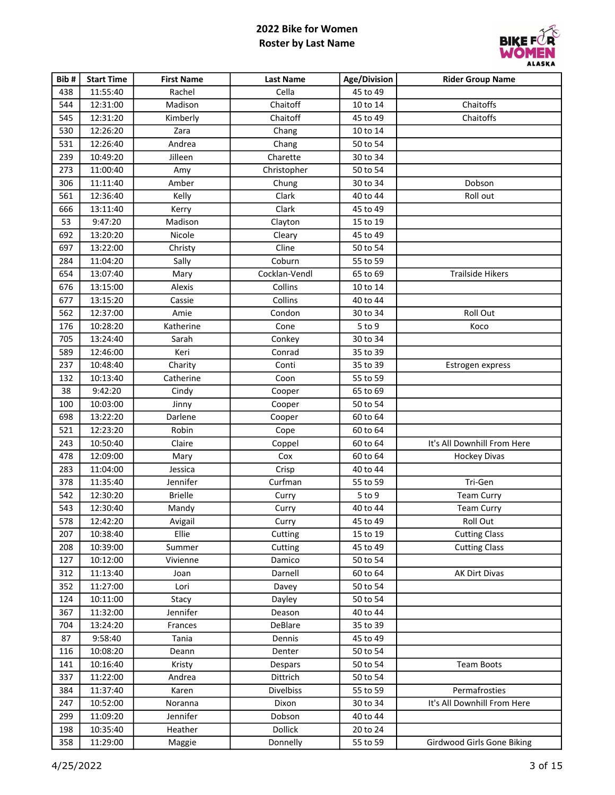

| Bib# | <b>Start Time</b> | <b>First Name</b> | <b>Last Name</b> | Age/Division | <b>Rider Group Name</b>     |
|------|-------------------|-------------------|------------------|--------------|-----------------------------|
| 438  | 11:55:40          | Rachel            | Cella            | 45 to 49     |                             |
| 544  | 12:31:00          | Madison           | Chaitoff         | 10 to 14     | Chaitoffs                   |
| 545  | 12:31:20          | Kimberly          | Chaitoff         | 45 to 49     | Chaitoffs                   |
| 530  | 12:26:20          | Zara              | Chang            | 10 to 14     |                             |
| 531  | 12:26:40          | Andrea            | Chang            | 50 to 54     |                             |
| 239  | 10:49:20          | Jilleen           | Charette         | 30 to 34     |                             |
| 273  | 11:00:40          | Amy               | Christopher      | 50 to 54     |                             |
| 306  | 11:11:40          | Amber             | Chung            | 30 to 34     | Dobson                      |
| 561  | 12:36:40          | Kelly             | Clark            | 40 to 44     | Roll out                    |
| 666  | 13:11:40          | Kerry             | Clark            | 45 to 49     |                             |
| 53   | 9:47:20           | Madison           | Clayton          | 15 to 19     |                             |
| 692  | 13:20:20          | Nicole            | Cleary           | 45 to 49     |                             |
| 697  | 13:22:00          | Christy           | Cline            | 50 to 54     |                             |
| 284  | 11:04:20          | Sally             | Coburn           | 55 to 59     |                             |
| 654  | 13:07:40          | Mary              | Cocklan-Vendl    | 65 to 69     | <b>Trailside Hikers</b>     |
| 676  | 13:15:00          | Alexis            | Collins          | 10 to 14     |                             |
| 677  | 13:15:20          | Cassie            | Collins          | 40 to 44     |                             |
| 562  | 12:37:00          | Amie              | Condon           | 30 to 34     | Roll Out                    |
| 176  | 10:28:20          | Katherine         | Cone             | 5 to 9       | Koco                        |
| 705  | 13:24:40          | Sarah             | Conkey           | 30 to 34     |                             |
| 589  | 12:46:00          | Keri              | Conrad           | 35 to 39     |                             |
| 237  | 10:48:40          | Charity           | Conti            | 35 to 39     | Estrogen express            |
| 132  | 10:13:40          | Catherine         | Coon             | 55 to 59     |                             |
| 38   | 9:42:20           | Cindy             | Cooper           | 65 to 69     |                             |
| 100  | 10:03:00          | Jinny             | Cooper           | 50 to 54     |                             |
| 698  | 13:22:20          | Darlene           | Cooper           | 60 to 64     |                             |
| 521  | 12:23:20          | Robin             | Cope             | 60 to 64     |                             |
| 243  | 10:50:40          | Claire            | Coppel           | 60 to 64     | It's All Downhill From Here |
| 478  | 12:09:00          | Mary              | Cox              | 60 to 64     | <b>Hockey Divas</b>         |
| 283  | 11:04:00          | Jessica           | Crisp            | 40 to 44     |                             |
| 378  | 11:35:40          | Jennifer          | Curfman          | 55 to 59     | Tri-Gen                     |
| 542  | 12:30:20          | <b>Brielle</b>    | Curry            | 5 to 9       | <b>Team Curry</b>           |
| 543  | 12:30:40          | Mandy             | Curry            | 40 to 44     | <b>Team Curry</b>           |
| 578  | 12:42:20          | Avigail           | Curry            | 45 to 49     | Roll Out                    |
| 207  | 10:38:40          | Ellie             | Cutting          | 15 to 19     | <b>Cutting Class</b>        |
| 208  | 10:39:00          | Summer            | Cutting          | 45 to 49     | <b>Cutting Class</b>        |
| 127  | 10:12:00          | Vivienne          | Damico           | 50 to 54     |                             |
| 312  | 11:13:40          | Joan              | Darnell          | 60 to 64     | AK Dirt Divas               |
| 352  | 11:27:00          | Lori              | Davey            | 50 to 54     |                             |
| 124  | 10:11:00          | Stacy             | Dayley           | 50 to 54     |                             |
| 367  | 11:32:00          | Jennifer          | Deason           | 40 to 44     |                             |
| 704  | 13:24:20          | Frances           | <b>DeBlare</b>   | 35 to 39     |                             |
| 87   | 9:58:40           | Tania             | Dennis           | 45 to 49     |                             |
| 116  | 10:08:20          | Deann             | Denter           | 50 to 54     |                             |
| 141  | 10:16:40          | Kristy            | Despars          | 50 to 54     | Team Boots                  |
| 337  | 11:22:00          | Andrea            | Dittrich         | 50 to 54     |                             |
| 384  | 11:37:40          | Karen             | <b>Divelbiss</b> | 55 to 59     | Permafrosties               |
| 247  | 10:52:00          | Noranna           | Dixon            | 30 to 34     | It's All Downhill From Here |
| 299  | 11:09:20          | Jennifer          | Dobson           | 40 to 44     |                             |
| 198  | 10:35:40          | Heather           | <b>Dollick</b>   | 20 to 24     |                             |
| 358  | 11:29:00          | Maggie            | Donnelly         | 55 to 59     | Girdwood Girls Gone Biking  |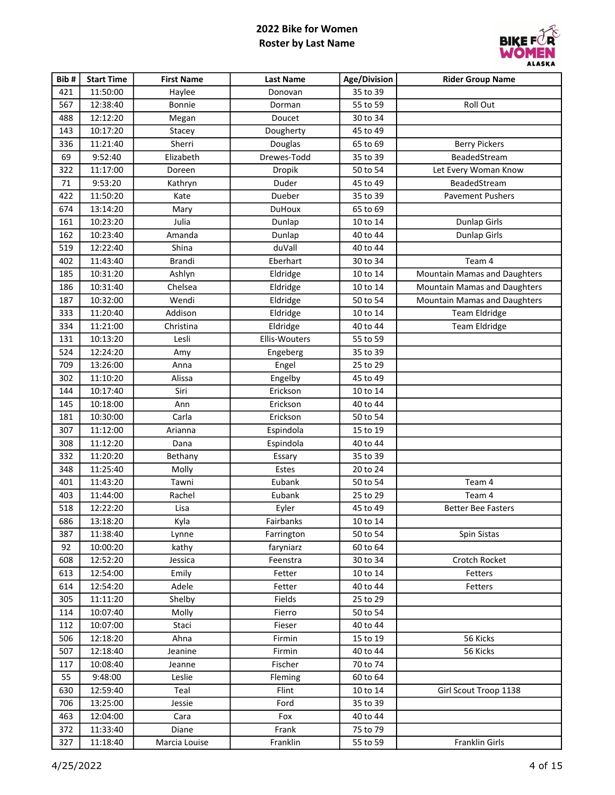

| Bib#   | <b>Start Time</b> | <b>First Name</b> | <b>Last Name</b> | <b>Age/Division</b> | <b>Rider Group Name</b>             |
|--------|-------------------|-------------------|------------------|---------------------|-------------------------------------|
| 421    | 11:50:00          | Haylee            | Donovan          | 35 to 39            |                                     |
| 567    | 12:38:40          | Bonnie            | Dorman           | 55 to 59            | Roll Out                            |
| 488    | 12:12:20          | Megan             | Doucet           | 30 to 34            |                                     |
| 143    | 10:17:20          | Stacey            | Dougherty        | 45 to 49            |                                     |
| 336    | 11:21:40          | Sherri            | Douglas          | 65 to 69            | <b>Berry Pickers</b>                |
| 69     | 9:52:40           | Elizabeth         | Drewes-Todd      | 35 to 39            | BeadedStream                        |
| 322    | 11:17:00          | Doreen            | Dropik           | 50 to 54            | Let Every Woman Know                |
| $71\,$ | 9:53:20           | Kathryn           | Duder            | 45 to 49            | BeadedStream                        |
| 422    | 11:50:20          | Kate              | Dueber           | 35 to 39            | <b>Pavement Pushers</b>             |
| 674    | 13:14:20          | Mary              | <b>DuHoux</b>    | 65 to 69            |                                     |
| 161    | 10:23:20          | Julia             | Dunlap           | 10 to 14            | <b>Dunlap Girls</b>                 |
| 162    | 10:23:40          | Amanda            | Dunlap           | 40 to 44            | <b>Dunlap Girls</b>                 |
| 519    | 12:22:40          | Shina             | duVall           | 40 to 44            |                                     |
| 402    | 11:43:40          | <b>Brandi</b>     | Eberhart         | 30 to 34            | Team 4                              |
| 185    | 10:31:20          | Ashlyn            | Eldridge         | 10 to 14            | <b>Mountain Mamas and Daughters</b> |
| 186    | 10:31:40          | Chelsea           | Eldridge         | 10 to 14            | <b>Mountain Mamas and Daughters</b> |
| 187    | 10:32:00          | Wendi             | Eldridge         | 50 to 54            | <b>Mountain Mamas and Daughters</b> |
| 333    | 11:20:40          | Addison           | Eldridge         | 10 to 14            | <b>Team Eldridge</b>                |
| 334    | 11:21:00          | Christina         | Eldridge         | 40 to 44            | <b>Team Eldridge</b>                |
| 131    | 10:13:20          | Lesli             | Ellis-Wouters    | 55 to 59            |                                     |
| 524    | 12:24:20          | Amy               | Engeberg         | 35 to 39            |                                     |
| 709    | 13:26:00          | Anna              | Engel            | 25 to 29            |                                     |
| 302    | 11:10:20          | Alissa            | Engelby          | 45 to 49            |                                     |
| 144    | 10:17:40          | Siri              | Erickson         | 10 to 14            |                                     |
| 145    | 10:18:00          | Ann               | Erickson         | 40 to 44            |                                     |
| 181    | 10:30:00          | Carla             | Erickson         | 50 to 54            |                                     |
| 307    | 11:12:00          | Arianna           | Espindola        | 15 to 19            |                                     |
| 308    | 11:12:20          | Dana              | Espindola        | 40 to 44            |                                     |
| 332    | 11:20:20          | Bethany           | Essary           | 35 to 39            |                                     |
| 348    | 11:25:40          | Molly             | Estes            | 20 to 24            |                                     |
| 401    | 11:43:20          | Tawni             | Eubank           | 50 to 54            | Team 4                              |
| 403    | 11:44:00          | Rachel            | Eubank           | 25 to 29            | Team 4                              |
| 518    | 12:22:20          | Lisa              | Eyler            | 45 to 49            | <b>Better Bee Fasters</b>           |
| 686    | 13:18:20          | Kyla              | Fairbanks        | 10 to 14            |                                     |
| 387    | 11:38:40          | Lynne             | Farrington       | 50 to 54            | Spin Sistas                         |
| 92     | 10:00:20          | kathy             | faryniarz        | 60 to 64            |                                     |
| 608    | 12:52:20          | Jessica           | Feenstra         | 30 to 34            | Crotch Rocket                       |
| 613    | 12:54:00          | Emily             | Fetter           | 10 to 14            | Fetters                             |
| 614    | 12:54:20          | Adele             | Fetter           | 40 to 44            | Fetters                             |
| 305    | 11:11:20          | Shelby            | Fields           | 25 to 29            |                                     |
| 114    | 10:07:40          | Molly             | Fierro           | 50 to 54            |                                     |
| 112    | 10:07:00          | Staci             | Fieser           | 40 to 44            |                                     |
| 506    | 12:18:20          | Ahna              | Firmin           | 15 to 19            | 56 Kicks                            |
| 507    | 12:18:40          | Jeanine           | Firmin           | 40 to 44            | 56 Kicks                            |
| 117    | 10:08:40          | Jeanne            | Fischer          | 70 to 74            |                                     |
| 55     | 9:48:00           | Leslie            | Fleming          | 60 to 64            |                                     |
| 630    | 12:59:40          | Teal              | Flint            | 10 to 14            | Girl Scout Troop 1138               |
| 706    | 13:25:00          | Jessie            | Ford             | 35 to 39            |                                     |
| 463    | 12:04:00          | Cara              | Fox              | 40 to 44            |                                     |
| 372    | 11:33:40          | Diane             | Frank            | 75 to 79            |                                     |
| 327    | 11:18:40          | Marcia Louise     | Franklin         | 55 to 59            | Franklin Girls                      |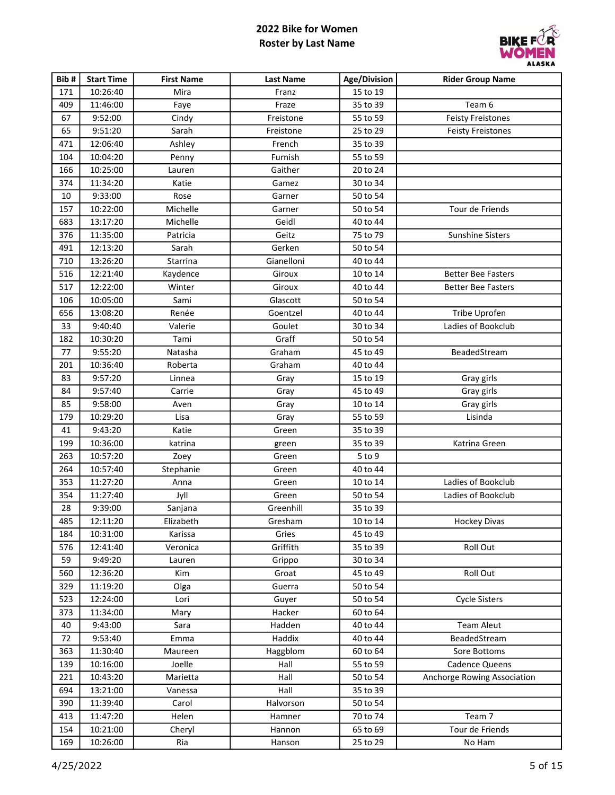

| Bib# | <b>Start Time</b> | <b>First Name</b> | <b>Last Name</b> | Age/Division | <b>Rider Group Name</b>     |
|------|-------------------|-------------------|------------------|--------------|-----------------------------|
| 171  | 10:26:40          | Mira              | Franz            | 15 to 19     |                             |
| 409  | 11:46:00          | Faye              | Fraze            | 35 to 39     | Team 6                      |
| 67   | 9:52:00           | Cindy             | Freistone        | 55 to 59     | <b>Feisty Freistones</b>    |
| 65   | 9:51:20           | Sarah             | Freistone        | 25 to 29     | <b>Feisty Freistones</b>    |
| 471  | 12:06:40          | Ashley            | French           | 35 to 39     |                             |
| 104  | 10:04:20          | Penny             | Furnish          | 55 to 59     |                             |
| 166  | 10:25:00          | Lauren            | Gaither          | 20 to 24     |                             |
| 374  | 11:34:20          | Katie             | Gamez            | 30 to 34     |                             |
| 10   | 9:33:00           | Rose              | Garner           | 50 to 54     |                             |
| 157  | 10:22:00          | Michelle          | Garner           | 50 to 54     | Tour de Friends             |
| 683  | 13:17:20          | Michelle          | Geidl            | 40 to 44     |                             |
| 376  | 11:35:00          | Patricia          | Geitz            | 75 to 79     | Sunshine Sisters            |
| 491  | 12:13:20          | Sarah             | Gerken           | 50 to 54     |                             |
| 710  | 13:26:20          | Starrina          | Gianelloni       | 40 to 44     |                             |
| 516  | 12:21:40          | Kaydence          | Giroux           | 10 to 14     | <b>Better Bee Fasters</b>   |
| 517  | 12:22:00          | Winter            | Giroux           | 40 to 44     | <b>Better Bee Fasters</b>   |
| 106  | 10:05:00          | Sami              | Glascott         | 50 to 54     |                             |
| 656  | 13:08:20          | Renée             | Goentzel         | 40 to 44     | Tribe Uprofen               |
| 33   | 9:40:40           | Valerie           | Goulet           | 30 to 34     | Ladies of Bookclub          |
| 182  | 10:30:20          | Tami              | Graff            | 50 to 54     |                             |
| 77   | 9:55:20           | Natasha           | Graham           | 45 to 49     | BeadedStream                |
| 201  | 10:36:40          | Roberta           | Graham           | 40 to 44     |                             |
| 83   | 9:57:20           | Linnea            | Gray             | 15 to 19     | Gray girls                  |
| 84   | 9:57:40           | Carrie            | Gray             | 45 to 49     | Gray girls                  |
| 85   | 9:58:00           | Aven              | Gray             | 10 to 14     | Gray girls                  |
| 179  | 10:29:20          | Lisa              | Gray             | 55 to 59     | Lisinda                     |
| 41   | 9:43:20           | Katie             | Green            | 35 to 39     |                             |
| 199  | 10:36:00          | katrina           | green            | 35 to 39     | Katrina Green               |
| 263  | 10:57:20          | Zoey              | Green            | $5$ to $9$   |                             |
| 264  | 10:57:40          | Stephanie         | Green            | 40 to 44     |                             |
| 353  | 11:27:20          | Anna              | Green            | 10 to 14     | Ladies of Bookclub          |
| 354  | 11:27:40          | Jyll              | Green            | 50 to 54     | Ladies of Bookclub          |
| 28   | 9:39:00           | Sanjana           | Greenhill        | 35 to 39     |                             |
| 485  | 12:11:20          | Elizabeth         | Gresham          | 10 to 14     | Hockey Divas                |
| 184  | 10:31:00          | Karissa           | Gries            | 45 to 49     |                             |
| 576  | 12:41:40          | Veronica          | Griffith         | 35 to 39     | Roll Out                    |
| 59   | 9:49:20           | Lauren            | Grippo           | 30 to 34     |                             |
| 560  | 12:36:20          | Kim               | Groat            | 45 to 49     | Roll Out                    |
| 329  | 11:19:20          | Olga              | Guerra           | 50 to 54     |                             |
| 523  | 12:24:00          | Lori              | Guyer            | 50 to 54     | <b>Cycle Sisters</b>        |
| 373  | 11:34:00          | Mary              | Hacker           | 60 to 64     |                             |
| 40   | 9:43:00           | Sara              | Hadden           | 40 to 44     | <b>Team Aleut</b>           |
| 72   | 9:53:40           | Emma              | Haddix           | 40 to 44     | BeadedStream                |
| 363  | 11:30:40          | Maureen           | Haggblom         | 60 to 64     | Sore Bottoms                |
| 139  | 10:16:00          | Joelle            | Hall             | 55 to 59     | <b>Cadence Queens</b>       |
| 221  | 10:43:20          | Marietta          | Hall             | 50 to 54     | Anchorge Rowing Association |
| 694  | 13:21:00          | Vanessa           | Hall             | 35 to 39     |                             |
| 390  | 11:39:40          | Carol             | Halvorson        | 50 to 54     |                             |
| 413  | 11:47:20          | Helen             | Hamner           | 70 to 74     | Team 7                      |
| 154  | 10:21:00          | Cheryl            | Hannon           | 65 to 69     | Tour de Friends             |
| 169  | 10:26:00          | Ria               | Hanson           | 25 to 29     | No Ham                      |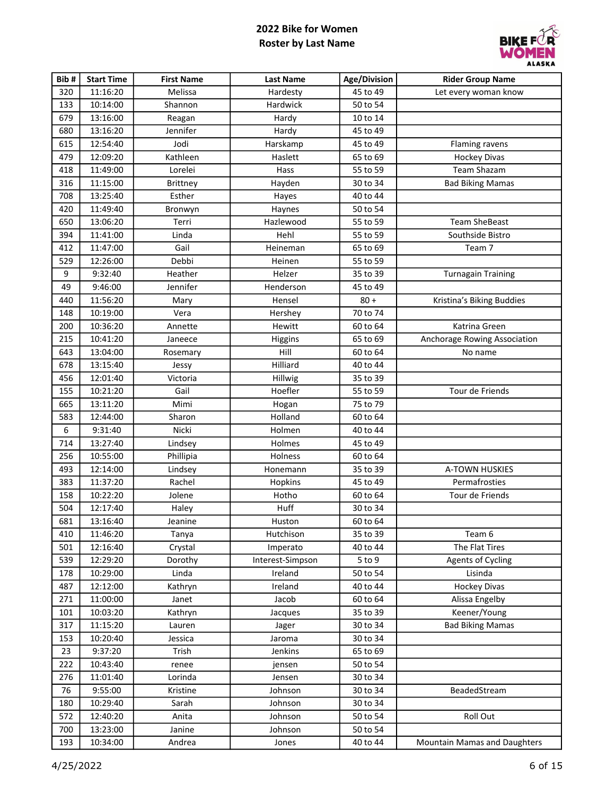

| Bib# | <b>Start Time</b> | <b>First Name</b> | <b>Last Name</b> | Age/Division | <b>Rider Group Name</b>      |
|------|-------------------|-------------------|------------------|--------------|------------------------------|
| 320  | 11:16:20          | Melissa           | Hardesty         | 45 to 49     | Let every woman know         |
| 133  | 10:14:00          | Shannon           | Hardwick         | 50 to 54     |                              |
| 679  | 13:16:00          | Reagan            | Hardy            | 10 to 14     |                              |
| 680  | 13:16:20          | Jennifer          | Hardy            | 45 to 49     |                              |
| 615  | 12:54:40          | Jodi              | Harskamp         | 45 to 49     | <b>Flaming ravens</b>        |
| 479  | 12:09:20          | Kathleen          | Haslett          | 65 to 69     | <b>Hockey Divas</b>          |
| 418  | 11:49:00          | Lorelei           | Hass             | 55 to 59     | <b>Team Shazam</b>           |
| 316  | 11:15:00          | <b>Brittney</b>   | Hayden           | 30 to 34     | <b>Bad Biking Mamas</b>      |
| 708  | 13:25:40          | Esther            | Hayes            | 40 to 44     |                              |
| 420  | 11:49:40          | Bronwyn           | Haynes           | 50 to 54     |                              |
| 650  | 13:06:20          | Terri             | Hazlewood        | 55 to 59     | <b>Team SheBeast</b>         |
| 394  | 11:41:00          | Linda             | Hehl             | 55 to 59     | Southside Bistro             |
| 412  | 11:47:00          | Gail              | Heineman         | 65 to 69     | Team 7                       |
| 529  | 12:26:00          | Debbi             | Heinen           | 55 to 59     |                              |
| 9    | 9:32:40           | Heather           | Helzer           | 35 to 39     | <b>Turnagain Training</b>    |
| 49   | 9:46:00           | Jennifer          | Henderson        | 45 to 49     |                              |
| 440  | 11:56:20          | Mary              | Hensel           | $80 +$       | Kristina's Biking Buddies    |
| 148  | 10:19:00          | Vera              | Hershey          | 70 to 74     |                              |
| 200  | 10:36:20          | Annette           | Hewitt           | 60 to 64     | Katrina Green                |
| 215  | 10:41:20          | Janeece           | Higgins          | 65 to 69     | Anchorage Rowing Association |
| 643  | 13:04:00          | Rosemary          | Hill             | 60 to 64     | No name                      |
| 678  | 13:15:40          | Jessy             | Hilliard         | 40 to 44     |                              |
| 456  | 12:01:40          | Victoria          | Hillwig          | 35 to 39     |                              |
| 155  | 10:21:20          | Gail              | Hoefler          | 55 to 59     | Tour de Friends              |
| 665  | 13:11:20          | Mimi              | Hogan            | 75 to 79     |                              |
| 583  | 12:44:00          | Sharon            | Holland          | 60 to 64     |                              |
| 6    | 9:31:40           | Nicki             | Holmen           | 40 to 44     |                              |
| 714  | 13:27:40          | Lindsey           | Holmes           | 45 to 49     |                              |
| 256  | 10:55:00          | Phillipia         | Holness          | 60 to 64     |                              |
| 493  | 12:14:00          | Lindsey           | Honemann         | 35 to 39     | A-TOWN HUSKIES               |
| 383  | 11:37:20          | Rachel            | Hopkins          | 45 to 49     | Permafrosties                |
| 158  | 10:22:20          | Jolene            | Hotho            | 60 to 64     | Tour de Friends              |
| 504  | 12:17:40          | Haley             | Huff             | 30 to 34     |                              |
| 681  | 13:16:40          | Jeanine           | Huston           | 60 to 64     |                              |
| 410  | 11:46:20          | Tanya             | Hutchison        | 35 to 39     | Team 6                       |
| 501  | 12:16:40          | Crystal           | Imperato         | 40 to 44     | The Flat Tires               |
| 539  | 12:29:20          | Dorothy           | Interest-Simpson | $5$ to $9$   | <b>Agents of Cycling</b>     |
| 178  | 10:29:00          | Linda             | Ireland          | 50 to 54     | Lisinda                      |
| 487  | 12:12:00          | Kathryn           | Ireland          | 40 to 44     | <b>Hockey Divas</b>          |
| 271  | 11:00:00          | Janet             | Jacob            | 60 to 64     | Alissa Engelby               |
| 101  | 10:03:20          | Kathryn           | Jacques          | 35 to 39     | Keener/Young                 |
| 317  | 11:15:20          | Lauren            | Jager            | 30 to 34     | <b>Bad Biking Mamas</b>      |
| 153  | 10:20:40          | Jessica           | Jaroma           | 30 to 34     |                              |
| 23   | 9:37:20           | Trish             | Jenkins          | 65 to 69     |                              |
| 222  | 10:43:40          | renee             | jensen           | 50 to 54     |                              |
| 276  | 11:01:40          | Lorinda           | Jensen           | 30 to 34     |                              |
| 76   | 9:55:00           | Kristine          | Johnson          | 30 to 34     | BeadedStream                 |
| 180  | 10:29:40          | Sarah             | Johnson          | 30 to 34     |                              |
| 572  | 12:40:20          | Anita             | Johnson          | 50 to 54     | Roll Out                     |
| 700  | 13:23:00          | Janine            | Johnson          | 50 to 54     |                              |
| 193  | 10:34:00          | Andrea            | Jones            | 40 to 44     | Mountain Mamas and Daughters |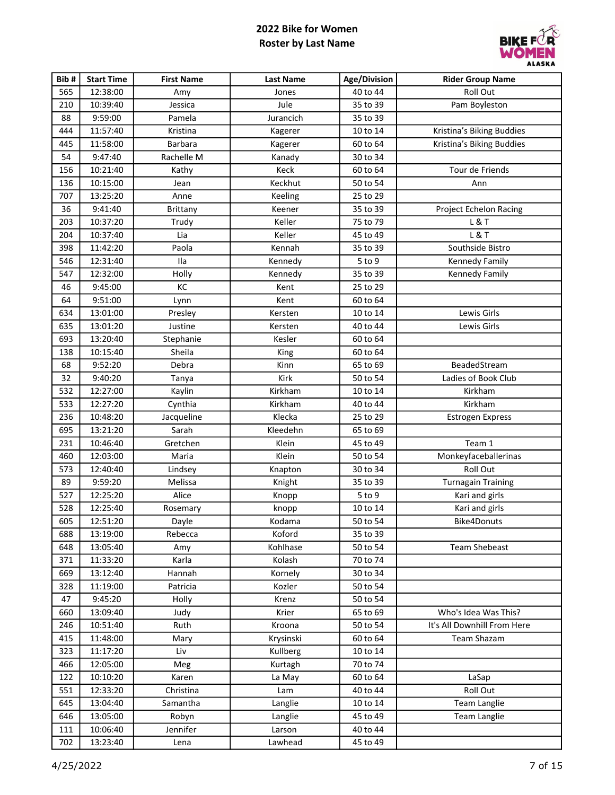

| Bib# | <b>Start Time</b> | <b>First Name</b> | <b>Last Name</b> | Age/Division | <b>Rider Group Name</b>     |
|------|-------------------|-------------------|------------------|--------------|-----------------------------|
| 565  | 12:38:00          | Amy               | Jones            | 40 to 44     | Roll Out                    |
| 210  | 10:39:40          | Jessica           | Jule             | 35 to 39     | Pam Boyleston               |
| 88   | 9:59:00           | Pamela            | Jurancich        | 35 to 39     |                             |
| 444  | 11:57:40          | Kristina          | Kagerer          | 10 to 14     | Kristina's Biking Buddies   |
| 445  | 11:58:00          | <b>Barbara</b>    | Kagerer          | 60 to 64     | Kristina's Biking Buddies   |
| 54   | 9:47:40           | Rachelle M        | Kanady           | 30 to 34     |                             |
| 156  | 10:21:40          | Kathy             | Keck             | 60 to 64     | Tour de Friends             |
| 136  | 10:15:00          | Jean              | Keckhut          | 50 to 54     | Ann                         |
| 707  | 13:25:20          | Anne              | Keeling          | 25 to 29     |                             |
| 36   | 9:41:40           | Brittany          | Keener           | 35 to 39     | Project Echelon Racing      |
| 203  | 10:37:20          | Trudy             | Keller           | 75 to 79     | L&T                         |
| 204  | 10:37:40          | Lia               | Keller           | 45 to 49     | L & T                       |
| 398  | 11:42:20          | Paola             | Kennah           | 35 to 39     | Southside Bistro            |
| 546  | 12:31:40          | Ila               | Kennedy          | 5 to 9       | Kennedy Family              |
| 547  | 12:32:00          | Holly             | Kennedy          | 35 to 39     | <b>Kennedy Family</b>       |
| 46   | 9:45:00           | KC                | Kent             | 25 to 29     |                             |
| 64   | 9:51:00           | Lynn              | Kent             | 60 to 64     |                             |
| 634  | 13:01:00          | Presley           | Kersten          | 10 to 14     | Lewis Girls                 |
| 635  | 13:01:20          | Justine           | Kersten          | 40 to 44     | Lewis Girls                 |
| 693  | 13:20:40          | Stephanie         | Kesler           | 60 to 64     |                             |
| 138  | 10:15:40          | Sheila            | King             | 60 to 64     |                             |
| 68   | 9:52:20           | Debra             | Kinn             | 65 to 69     | BeadedStream                |
| 32   | 9:40:20           | Tanya             | Kirk             | 50 to 54     | Ladies of Book Club         |
| 532  | 12:27:00          | Kaylin            | Kirkham          | 10 to 14     | Kirkham                     |
| 533  | 12:27:20          | Cynthia           | Kirkham          | 40 to 44     | Kirkham                     |
| 236  | 10:48:20          | Jacqueline        | Klecka           | 25 to 29     | <b>Estrogen Express</b>     |
| 695  | 13:21:20          | Sarah             | Kleedehn         | 65 to 69     |                             |
| 231  | 10:46:40          | Gretchen          | Klein            | 45 to 49     | Team 1                      |
| 460  | 12:03:00          | Maria             | Klein            | 50 to 54     | Monkeyfaceballerinas        |
| 573  | 12:40:40          | Lindsey           | Knapton          | 30 to 34     | Roll Out                    |
| 89   | 9:59:20           | Melissa           | Knight           | 35 to 39     | <b>Turnagain Training</b>   |
| 527  | 12:25:20          | Alice             | Knopp            | $5$ to $9$   | Kari and girls              |
| 528  | 12:25:40          | Rosemary          | knopp            | 10 to 14     | Kari and girls              |
| 605  | 12:51:20          | Dayle             | Kodama           | 50 to 54     | Bike4Donuts                 |
| 688  | 13:19:00          | Rebecca           | Koford           | 35 to 39     |                             |
| 648  | 13:05:40          | Amy               | Kohlhase         | 50 to 54     | <b>Team Shebeast</b>        |
| 371  | 11:33:20          | Karla             | Kolash           | 70 to 74     |                             |
| 669  | 13:12:40          | Hannah            | Kornely          | 30 to 34     |                             |
| 328  | 11:19:00          | Patricia          | Kozler           | 50 to 54     |                             |
| 47   | 9:45:20           | Holly             | Krenz            | 50 to 54     |                             |
| 660  | 13:09:40          | Judy              | Krier            | 65 to 69     | Who's Idea Was This?        |
| 246  | 10:51:40          | Ruth              | Kroona           | 50 to 54     | It's All Downhill From Here |
| 415  | 11:48:00          | Mary              | Krysinski        | 60 to 64     | Team Shazam                 |
| 323  | 11:17:20          | Liv               | Kullberg         | 10 to 14     |                             |
| 466  | 12:05:00          | Meg               | Kurtagh          | 70 to 74     |                             |
| 122  | 10:10:20          | Karen             | La May           | 60 to 64     | LaSap                       |
| 551  | 12:33:20          | Christina         | Lam              | 40 to 44     | Roll Out                    |
| 645  | 13:04:40          | Samantha          | Langlie          | 10 to 14     | <b>Team Langlie</b>         |
| 646  | 13:05:00          | Robyn             | Langlie          | 45 to 49     | Team Langlie                |
| 111  | 10:06:40          | Jennifer          | Larson           | 40 to 44     |                             |
| 702  | 13:23:40          | Lena              | Lawhead          | 45 to 49     |                             |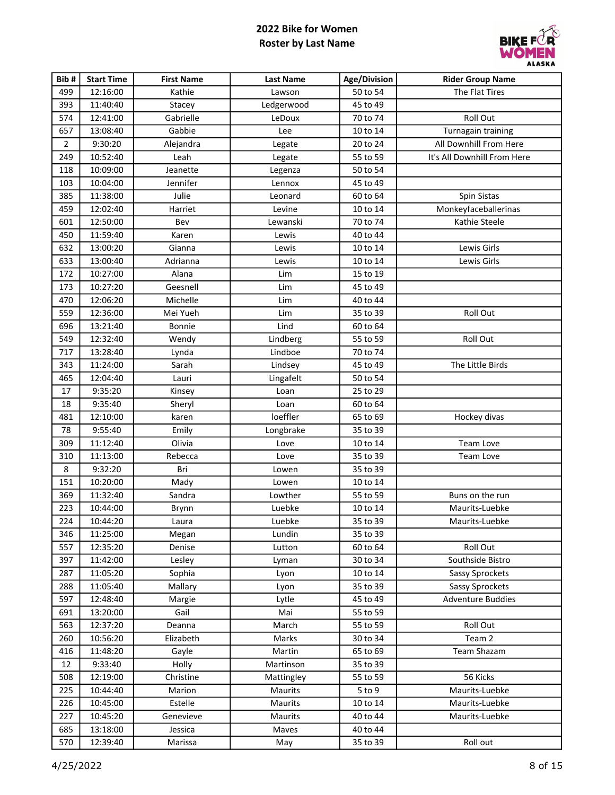

| Bib#           | <b>Start Time</b> | <b>First Name</b> | <b>Last Name</b> | <b>Age/Division</b> | <b>Rider Group Name</b>     |
|----------------|-------------------|-------------------|------------------|---------------------|-----------------------------|
| 499            | 12:16:00          | Kathie            | Lawson           | 50 to 54            | The Flat Tires              |
| 393            | 11:40:40          | Stacey            | Ledgerwood       | 45 to 49            |                             |
| 574            | 12:41:00          | Gabrielle         | LeDoux           | 70 to 74            | Roll Out                    |
| 657            | 13:08:40          | Gabbie            | Lee              | 10 to 14            | Turnagain training          |
| $\overline{2}$ | 9:30:20           | Alejandra         | Legate           | 20 to 24            | All Downhill From Here      |
| 249            | 10:52:40          | Leah              | Legate           | 55 to 59            | It's All Downhill From Here |
| 118            | 10:09:00          | Jeanette          | Legenza          | 50 to 54            |                             |
| 103            | 10:04:00          | Jennifer          | Lennox           | 45 to 49            |                             |
| 385            | 11:38:00          | Julie             | Leonard          | 60 to 64            | Spin Sistas                 |
| 459            | 12:02:40          | Harriet           | Levine           | 10 to 14            | Monkeyfaceballerinas        |
| 601            | 12:50:00          | Bev               | Lewanski         | 70 to 74            | Kathie Steele               |
| 450            | 11:59:40          | Karen             | Lewis            | 40 to 44            |                             |
| 632            | 13:00:20          | Gianna            | Lewis            | 10 to 14            | Lewis Girls                 |
| 633            | 13:00:40          | Adrianna          | Lewis            | 10 to 14            | Lewis Girls                 |
| 172            | 10:27:00          | Alana             | Lim              | 15 to 19            |                             |
| 173            | 10:27:20          | Geesnell          | Lim              | 45 to 49            |                             |
| 470            | 12:06:20          | Michelle          | Lim              | 40 to 44            |                             |
| 559            | 12:36:00          | Mei Yueh          | Lim              | 35 to 39            | Roll Out                    |
| 696            | 13:21:40          | Bonnie            | Lind             | 60 to 64            |                             |
| 549            | 12:32:40          | Wendy             | Lindberg         | 55 to 59            | Roll Out                    |
| 717            | 13:28:40          | Lynda             | Lindboe          | 70 to 74            |                             |
| 343            | 11:24:00          | Sarah             | Lindsey          | 45 to 49            | The Little Birds            |
| 465            | 12:04:40          | Lauri             | Lingafelt        | 50 to 54            |                             |
| 17             | 9:35:20           | Kinsey            | Loan             | 25 to 29            |                             |
| 18             | 9:35:40           | Sheryl            | Loan             | 60 to 64            |                             |
| 481            | 12:10:00          | karen             | loeffler         | 65 to 69            | Hockey divas                |
| 78             | 9:55:40           | Emily             | Longbrake        | 35 to 39            |                             |
| 309            | 11:12:40          | Olivia            | Love             | 10 to 14            | Team Love                   |
| 310            | 11:13:00          | Rebecca           | Love             | 35 to 39            | Team Love                   |
| 8              | 9:32:20           | Bri               | Lowen            | 35 to 39            |                             |
| 151            | 10:20:00          | Mady              | Lowen            | 10 to 14            |                             |
| 369            | 11:32:40          | Sandra            | Lowther          | 55 to 59            | Buns on the run             |
| 223            | 10:44:00          | Brynn             | Luebke           | 10 to 14            | Maurits-Luebke              |
| 224            | 10:44:20          | Laura             | Luebke           | 35 to 39            | Maurits-Luebke              |
| 346            | 11:25:00          | Megan             | Lundin           | 35 to 39            |                             |
| 557            | 12:35:20          | Denise            | Lutton           | 60 to 64            | Roll Out                    |
| 397            | 11:42:00          | Lesley            | Lyman            | 30 to 34            | Southside Bistro            |
| 287            | 11:05:20          | Sophia            | Lyon             | 10 to 14            | Sassy Sprockets             |
| 288            | 11:05:40          | Mallary           | Lyon             | 35 to 39            | Sassy Sprockets             |
| 597            | 12:48:40          | Margie            | Lytle            | 45 to 49            | <b>Adventure Buddies</b>    |
| 691            | 13:20:00          | Gail              | Mai              | 55 to 59            |                             |
| 563            | 12:37:20          | Deanna            | March            | 55 to 59            | Roll Out                    |
| 260            | 10:56:20          | Elizabeth         | Marks            | 30 to 34            | Team 2                      |
| 416            | 11:48:20          | Gayle             | Martin           | 65 to 69            | <b>Team Shazam</b>          |
| 12             | 9:33:40           | Holly             | Martinson        | 35 to 39            |                             |
| 508            | 12:19:00          | Christine         | Mattingley       | 55 to 59            | 56 Kicks                    |
| 225            | 10:44:40          | Marion            | Maurits          | 5 to 9              | Maurits-Luebke              |
| 226            | 10:45:00          | Estelle           | Maurits          | 10 to 14            | Maurits-Luebke              |
| 227            | 10:45:20          | Genevieve         | Maurits          | 40 to 44            | Maurits-Luebke              |
| 685            | 13:18:00          | Jessica           | Maves            | 40 to 44            |                             |
| 570            | 12:39:40          | Marissa           | May              | 35 to 39            | Roll out                    |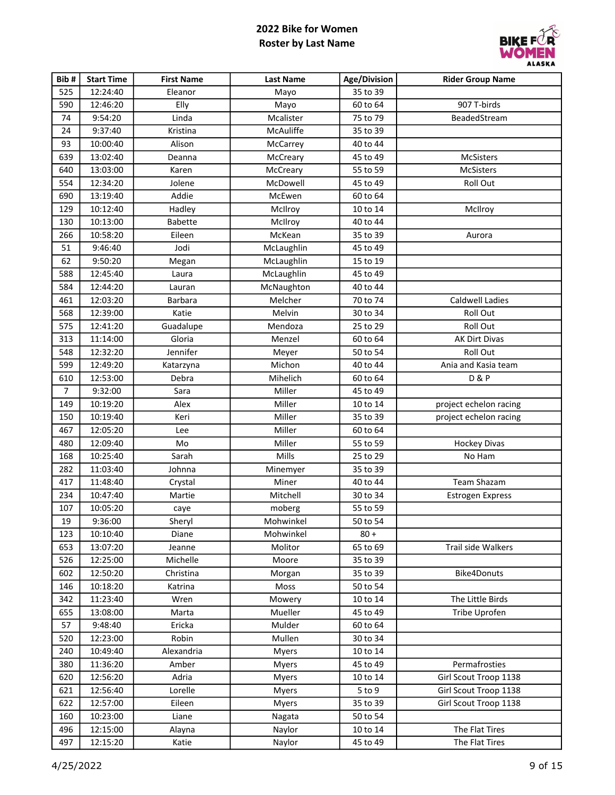

| Bib#           | <b>Start Time</b> | <b>First Name</b> | <b>Last Name</b> | Age/Division | <b>Rider Group Name</b> |
|----------------|-------------------|-------------------|------------------|--------------|-------------------------|
| 525            | 12:24:40          | Eleanor           | Mayo             | 35 to 39     |                         |
| 590            | 12:46:20          | Elly              | Mayo             | 60 to 64     | 907 T-birds             |
| 74             | 9:54:20           | Linda             | Mcalister        | 75 to 79     | BeadedStream            |
| 24             | 9:37:40           | Kristina          | McAuliffe        | 35 to 39     |                         |
| 93             | 10:00:40          | Alison            | McCarrey         | 40 to 44     |                         |
| 639            | 13:02:40          | Deanna            | McCreary         | 45 to 49     | McSisters               |
| 640            | 13:03:00          | Karen             | McCreary         | 55 to 59     | <b>McSisters</b>        |
| 554            | 12:34:20          | Jolene            | McDowell         | 45 to 49     | Roll Out                |
| 690            | 13:19:40          | Addie             | McEwen           | 60 to 64     |                         |
| 129            | 10:12:40          | Hadley            | McIlroy          | 10 to 14     | McIlroy                 |
| 130            | 10:13:00          | <b>Babette</b>    | McIlroy          | 40 to 44     |                         |
| 266            | 10:58:20          | Eileen            | McKean           | 35 to 39     | Aurora                  |
| 51             | 9:46:40           | Jodi              | McLaughlin       | 45 to 49     |                         |
| 62             | 9:50:20           | Megan             | McLaughlin       | 15 to 19     |                         |
| 588            | 12:45:40          | Laura             | McLaughlin       | 45 to 49     |                         |
| 584            | 12:44:20          | Lauran            | McNaughton       | 40 to 44     |                         |
| 461            | 12:03:20          | Barbara           | Melcher          | 70 to 74     | <b>Caldwell Ladies</b>  |
| 568            | 12:39:00          | Katie             | Melvin           | 30 to 34     | Roll Out                |
| 575            | 12:41:20          | Guadalupe         | Mendoza          | 25 to 29     | Roll Out                |
| 313            | 11:14:00          | Gloria            | Menzel           | 60 to 64     | AK Dirt Divas           |
| 548            | 12:32:20          | Jennifer          | Meyer            | 50 to 54     | Roll Out                |
| 599            | 12:49:20          | Katarzyna         | Michon           | 40 to 44     | Ania and Kasia team     |
| 610            | 12:53:00          | Debra             | Mihelich         | 60 to 64     | <b>D&amp;P</b>          |
| $\overline{7}$ | 9:32:00           | Sara              | Miller           | 45 to 49     |                         |
| 149            | 10:19:20          | Alex              | Miller           | 10 to 14     | project echelon racing  |
| 150            | 10:19:40          | Keri              | Miller           | 35 to 39     | project echelon racing  |
| 467            | 12:05:20          | Lee               | Miller           | 60 to 64     |                         |
| 480            | 12:09:40          | Mo                | Miller           | 55 to 59     | <b>Hockey Divas</b>     |
| 168            | 10:25:40          | Sarah             | Mills            | 25 to 29     | No Ham                  |
| 282            | 11:03:40          | Johnna            | Minemyer         | 35 to 39     |                         |
| 417            | 11:48:40          | Crystal           | Miner            | 40 to 44     | <b>Team Shazam</b>      |
| 234            | 10:47:40          | Martie            | Mitchell         | 30 to 34     | Estrogen Express        |
| 107            | 10:05:20          | caye              | moberg           | 55 to 59     |                         |
| 19             | 9:36:00           | Sheryl            | Mohwinkel        | 50 to 54     |                         |
| 123            | 10:10:40          | Diane             | Mohwinkel        | $80 +$       |                         |
| 653            | 13:07:20          | Jeanne            | Molitor          | 65 to 69     | Trail side Walkers      |
| 526            | 12:25:00          | Michelle          | Moore            | 35 to 39     |                         |
| 602            | 12:50:20          | Christina         | Morgan           | 35 to 39     | <b>Bike4Donuts</b>      |
| 146            | 10:18:20          | Katrina           | Moss             | 50 to 54     |                         |
| 342            | 11:23:40          | Wren              | Mowery           | 10 to 14     | The Little Birds        |
| 655            | 13:08:00          | Marta             | Mueller          | 45 to 49     | Tribe Uprofen           |
| 57             | 9:48:40           | Ericka            | Mulder           | 60 to 64     |                         |
| 520            | 12:23:00          | Robin             | Mullen           | 30 to 34     |                         |
| 240            | 10:49:40          | Alexandria        | <b>Myers</b>     | 10 to 14     |                         |
| 380            | 11:36:20          | Amber             | <b>Myers</b>     | 45 to 49     | Permafrosties           |
| 620            | 12:56:20          | Adria             | <b>Myers</b>     | 10 to 14     | Girl Scout Troop 1138   |
| 621            | 12:56:40          | Lorelle           | Myers            | $5$ to $9$   | Girl Scout Troop 1138   |
| 622            | 12:57:00          | Eileen            | <b>Myers</b>     | 35 to 39     | Girl Scout Troop 1138   |
| 160            | 10:23:00          | Liane             | Nagata           | 50 to 54     |                         |
| 496            | 12:15:00          | Alayna            | Naylor           | 10 to 14     | The Flat Tires          |
| 497            | 12:15:20          | Katie             | Naylor           | 45 to 49     | The Flat Tires          |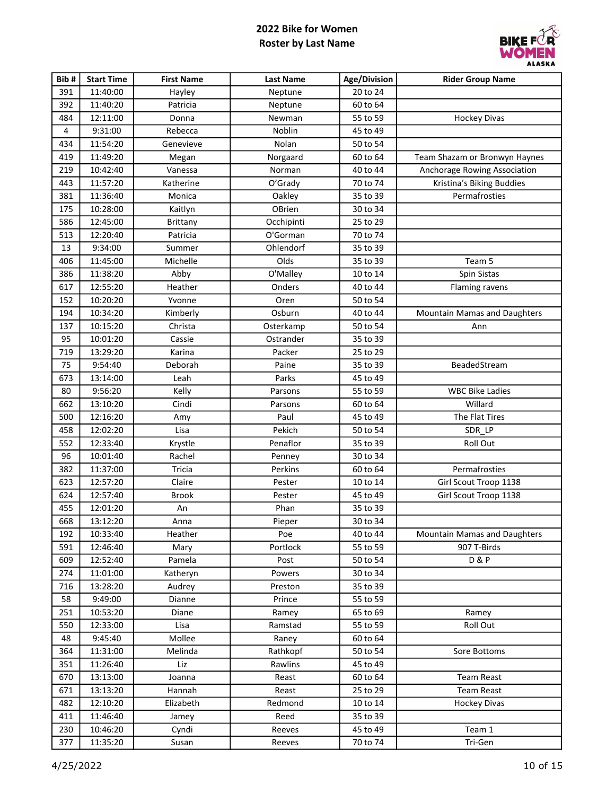

| Bib# | <b>Start Time</b> | <b>First Name</b> | <b>Last Name</b> | Age/Division | <b>Rider Group Name</b>             |
|------|-------------------|-------------------|------------------|--------------|-------------------------------------|
| 391  | 11:40:00          | Hayley            | Neptune          | 20 to 24     |                                     |
| 392  | 11:40:20          | Patricia          | Neptune          | 60 to 64     |                                     |
| 484  | 12:11:00          | Donna             | Newman           | 55 to 59     | <b>Hockey Divas</b>                 |
| 4    | 9:31:00           | Rebecca           | Noblin           | 45 to 49     |                                     |
| 434  | 11:54:20          | Genevieve         | Nolan            | 50 to 54     |                                     |
| 419  | 11:49:20          | Megan             | Norgaard         | 60 to 64     | Team Shazam or Bronwyn Haynes       |
| 219  | 10:42:40          | Vanessa           | Norman           | 40 to 44     | Anchorage Rowing Association        |
| 443  | 11:57:20          | Katherine         | O'Grady          | 70 to 74     | Kristina's Biking Buddies           |
| 381  | 11:36:40          | Monica            | Oakley           | 35 to 39     | Permafrosties                       |
| 175  | 10:28:00          | Kaitlyn           | OBrien           | 30 to 34     |                                     |
| 586  | 12:45:00          | <b>Brittany</b>   | Occhipinti       | 25 to 29     |                                     |
| 513  | 12:20:40          | Patricia          | O'Gorman         | 70 to 74     |                                     |
| 13   | 9:34:00           | Summer            | Ohlendorf        | 35 to 39     |                                     |
| 406  | 11:45:00          | Michelle          | Olds             | 35 to 39     | Team 5                              |
| 386  | 11:38:20          | Abby              | O'Malley         | 10 to 14     | Spin Sistas                         |
| 617  | 12:55:20          | Heather           | Onders           | 40 to 44     | <b>Flaming ravens</b>               |
| 152  | 10:20:20          | Yvonne            | Oren             | 50 to 54     |                                     |
| 194  | 10:34:20          | Kimberly          | Osburn           | 40 to 44     | Mountain Mamas and Daughters        |
| 137  | 10:15:20          | Christa           | Osterkamp        | 50 to 54     | Ann                                 |
| 95   | 10:01:20          | Cassie            | Ostrander        | 35 to 39     |                                     |
| 719  | 13:29:20          | Karina            | Packer           | 25 to 29     |                                     |
| 75   | 9:54:40           | Deborah           | Paine            | 35 to 39     | BeadedStream                        |
| 673  | 13:14:00          | Leah              | Parks            | 45 to 49     |                                     |
| 80   | 9:56:20           | Kelly             | Parsons          | 55 to 59     | <b>WBC Bike Ladies</b>              |
| 662  | 13:10:20          | Cindi             | Parsons          | 60 to 64     | Willard                             |
| 500  | 12:16:20          | Amy               | Paul             | 45 to 49     | The Flat Tires                      |
| 458  | 12:02:20          | Lisa              | Pekich           | 50 to 54     | SDR_LP                              |
| 552  | 12:33:40          | Krystle           | Penaflor         | 35 to 39     | Roll Out                            |
| 96   | 10:01:40          | Rachel            | Penney           | 30 to 34     |                                     |
| 382  | 11:37:00          | Tricia            | Perkins          | 60 to 64     | Permafrosties                       |
| 623  | 12:57:20          | Claire            | Pester           | 10 to 14     | Girl Scout Troop 1138               |
| 624  | 12:57:40          | Brook             | Pester           | 45 to 49     | Girl Scout Troop 1138               |
| 455  | 12:01:20          | An                | Phan             | 35 to 39     |                                     |
| 668  | 13:12:20          | Anna              | Pieper           | 30 to 34     |                                     |
| 192  | 10:33:40          | Heather           | Poe              | 40 to 44     | <b>Mountain Mamas and Daughters</b> |
| 591  | 12:46:40          | Mary              | Portlock         | 55 to 59     | 907 T-Birds                         |
| 609  | 12:52:40          | Pamela            | Post             | 50 to 54     | <b>D&amp;P</b>                      |
| 274  | 11:01:00          | Katheryn          | Powers           | 30 to 34     |                                     |
| 716  | 13:28:20          | Audrey            | Preston          | 35 to 39     |                                     |
| 58   | 9:49:00           | Dianne            | Prince           | 55 to 59     |                                     |
| 251  | 10:53:20          | Diane             | Ramey            | 65 to 69     | Ramey                               |
| 550  | 12:33:00          | Lisa              | Ramstad          | 55 to 59     | Roll Out                            |
| 48   | 9:45:40           | Mollee            | Raney            | 60 to 64     |                                     |
| 364  | 11:31:00          | Melinda           | Rathkopf         | 50 to 54     | Sore Bottoms                        |
| 351  | 11:26:40          | Liz               | Rawlins          | 45 to 49     |                                     |
| 670  | 13:13:00          | Joanna            | Reast            | 60 to 64     | <b>Team Reast</b>                   |
| 671  | 13:13:20          | Hannah            | Reast            | 25 to 29     | <b>Team Reast</b>                   |
| 482  | 12:10:20          | Elizabeth         | Redmond          | 10 to 14     | <b>Hockey Divas</b>                 |
| 411  | 11:46:40          | Jamey             | Reed             | 35 to 39     |                                     |
| 230  | 10:46:20          | Cyndi             | Reeves           | 45 to 49     | Team 1                              |
| 377  | 11:35:20          | Susan             | Reeves           | 70 to 74     | Tri-Gen                             |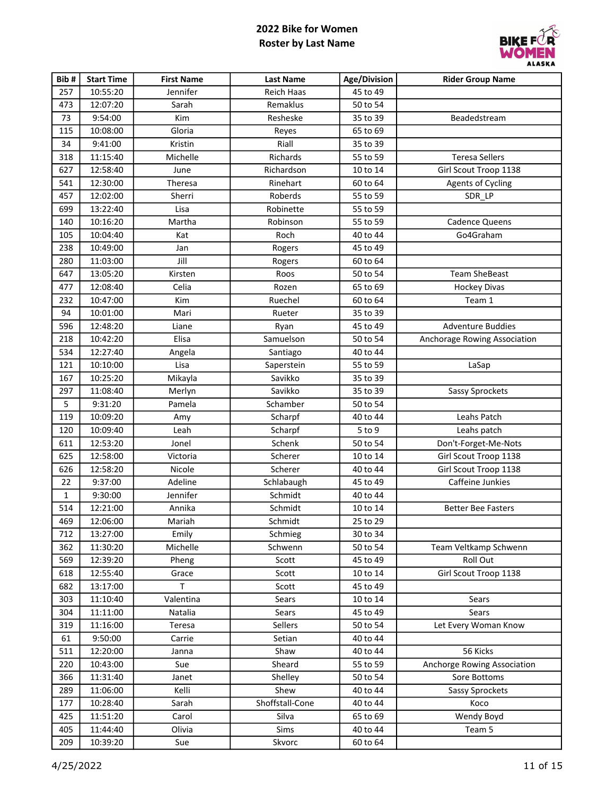

| Bib# | <b>Start Time</b> | <b>First Name</b> | <b>Last Name</b>  | <b>Age/Division</b> | <b>Rider Group Name</b>      |
|------|-------------------|-------------------|-------------------|---------------------|------------------------------|
| 257  | 10:55:20          | Jennifer          | <b>Reich Haas</b> | 45 to 49            |                              |
| 473  | 12:07:20          | Sarah             | Remaklus          | 50 to 54            |                              |
| 73   | 9:54:00           | Kim               | Resheske          | 35 to 39            | Beadedstream                 |
| 115  | 10:08:00          | Gloria            | Reyes             | 65 to 69            |                              |
| 34   | 9:41:00           | Kristin           | Riall             | 35 to 39            |                              |
| 318  | 11:15:40          | Michelle          | Richards          | 55 to 59            | <b>Teresa Sellers</b>        |
| 627  | 12:58:40          | June              | Richardson        | 10 to 14            | Girl Scout Troop 1138        |
| 541  | 12:30:00          | Theresa           | Rinehart          | 60 to 64            | <b>Agents of Cycling</b>     |
| 457  | 12:02:00          | Sherri            | Roberds           | 55 to 59            | SDR_LP                       |
| 699  | 13:22:40          | Lisa              | Robinette         | 55 to 59            |                              |
| 140  | 10:16:20          | Martha            | Robinson          | 55 to 59            | Cadence Queens               |
| 105  | 10:04:40          | Kat               | Roch              | 40 to 44            | Go4Graham                    |
| 238  | 10:49:00          | Jan               | Rogers            | 45 to 49            |                              |
| 280  | 11:03:00          | Jill              | Rogers            | 60 to 64            |                              |
| 647  | 13:05:20          | Kirsten           | Roos              | 50 to 54            | <b>Team SheBeast</b>         |
| 477  | 12:08:40          | Celia             | Rozen             | 65 to 69            | <b>Hockey Divas</b>          |
| 232  | 10:47:00          | Kim               | Ruechel           | 60 to 64            | Team 1                       |
| 94   | 10:01:00          | Mari              | Rueter            | 35 to 39            |                              |
| 596  | 12:48:20          | Liane             | Ryan              | 45 to 49            | <b>Adventure Buddies</b>     |
| 218  | 10:42:20          | Elisa             | Samuelson         | 50 to 54            | Anchorage Rowing Association |
| 534  | 12:27:40          | Angela            | Santiago          | 40 to 44            |                              |
| 121  | 10:10:00          | Lisa              | Saperstein        | 55 to 59            | LaSap                        |
| 167  | 10:25:20          | Mikayla           | Savikko           | 35 to 39            |                              |
| 297  | 11:08:40          | Merlyn            | Savikko           | 35 to 39            | Sassy Sprockets              |
| 5    | 9:31:20           | Pamela            | Schamber          | 50 to 54            |                              |
| 119  | 10:09:20          | Amy               | Scharpf           | 40 to 44            | Leahs Patch                  |
| 120  | 10:09:40          | Leah              | Scharpf           | $5$ to $9$          | Leahs patch                  |
| 611  | 12:53:20          | Jonel             | Schenk            | 50 to 54            | Don't-Forget-Me-Nots         |
| 625  | 12:58:00          | Victoria          | Scherer           | 10 to 14            | Girl Scout Troop 1138        |
| 626  | 12:58:20          | Nicole            | Scherer           | 40 to 44            | Girl Scout Troop 1138        |
| 22   | 9:37:00           | Adeline           | Schlabaugh        | 45 to 49            | Caffeine Junkies             |
| 1    | 9:30:00           | Jennifer          | Schmidt           | 40 to 44            |                              |
| 514  | 12:21:00          | Annika            | Schmidt           | 10 to 14            | <b>Better Bee Fasters</b>    |
| 469  | 12:06:00          | Mariah            | Schmidt           | 25 to 29            |                              |
| 712  | 13:27:00          | Emily             | Schmieg           | 30 to 34            |                              |
| 362  | 11:30:20          | Michelle          | Schwenn           | 50 to 54            | Team Veltkamp Schwenn        |
| 569  | 12:39:20          | Pheng             | Scott             | 45 to 49            | Roll Out                     |
| 618  | 12:55:40          | Grace             | Scott             | 10 to 14            | Girl Scout Troop 1138        |
| 682  | 13:17:00          | T                 | Scott             | 45 to 49            |                              |
| 303  | 11:10:40          | Valentina         | Sears             | 10 to 14            | Sears                        |
| 304  | 11:11:00          | Natalia           | Sears             | 45 to 49            | Sears                        |
| 319  | 11:16:00          | Teresa            | Sellers           | 50 to 54            | Let Every Woman Know         |
| 61   | 9:50:00           | Carrie            | Setian            | 40 to 44            |                              |
| 511  | 12:20:00          | Janna             | Shaw              | 40 to 44            | 56 Kicks                     |
| 220  | 10:43:00          | Sue               | Sheard            | 55 to 59            | Anchorge Rowing Association  |
| 366  | 11:31:40          | Janet             | Shelley           | 50 to 54            | Sore Bottoms                 |
| 289  | 11:06:00          | Kelli             | Shew              | 40 to 44            | Sassy Sprockets              |
| 177  | 10:28:40          | Sarah             | Shoffstall-Cone   | 40 to 44            | Koco                         |
| 425  | 11:51:20          | Carol             | Silva             | 65 to 69            | Wendy Boyd                   |
| 405  | 11:44:40          | Olivia            | Sims              | 40 to 44            | Team 5                       |
| 209  | 10:39:20          | Sue               | Skvorc            | 60 to 64            |                              |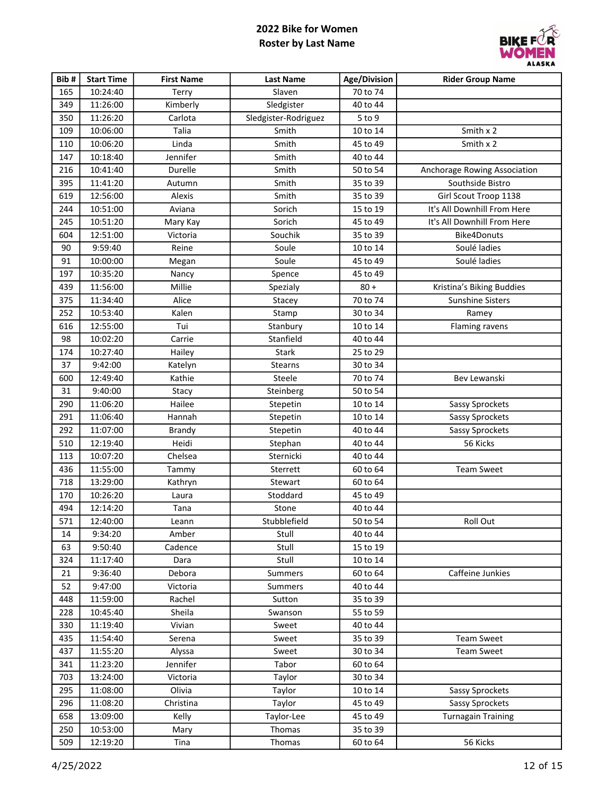

| Bib# | <b>Start Time</b> | <b>First Name</b> | <b>Last Name</b>     | Age/Division | <b>Rider Group Name</b>      |
|------|-------------------|-------------------|----------------------|--------------|------------------------------|
| 165  | 10:24:40          | Terry             | Slaven               | 70 to 74     |                              |
| 349  | 11:26:00          | Kimberly          | Sledgister           | 40 to 44     |                              |
| 350  | 11:26:20          | Carlota           | Sledgister-Rodriguez | $5$ to $9$   |                              |
| 109  | 10:06:00          | Talia             | Smith                | 10 to 14     | Smith x 2                    |
| 110  | 10:06:20          | Linda             | Smith                | 45 to 49     | Smith x 2                    |
| 147  | 10:18:40          | Jennifer          | Smith                | 40 to 44     |                              |
| 216  | 10:41:40          | Durelle           | Smith                | 50 to 54     | Anchorage Rowing Association |
| 395  | 11:41:20          | Autumn            | Smith                | 35 to 39     | Southside Bistro             |
| 619  | 12:56:00          | Alexis            | Smith                | 35 to 39     | Girl Scout Troop 1138        |
| 244  | 10:51:00          | Aviana            | Sorich               | 15 to 19     | It's All Downhill From Here  |
| 245  | 10:51:20          | Mary Kay          | Sorich               | 45 to 49     | It's All Downhill From Here  |
| 604  | 12:51:00          | Victoria          | Souchik              | 35 to 39     | Bike4Donuts                  |
| 90   | 9:59:40           | Reine             | Soule                | 10 to 14     | Soulé ladies                 |
| 91   | 10:00:00          | Megan             | Soule                | 45 to 49     | Soulé ladies                 |
| 197  | 10:35:20          | Nancy             | Spence               | 45 to 49     |                              |
| 439  | 11:56:00          | Millie            | Spezialy             | $80 +$       | Kristina's Biking Buddies    |
| 375  | 11:34:40          | Alice             | Stacey               | 70 to 74     | <b>Sunshine Sisters</b>      |
| 252  | 10:53:40          | Kalen             | Stamp                | 30 to 34     | Ramey                        |
| 616  | 12:55:00          | Tui               | Stanbury             | 10 to 14     | Flaming ravens               |
| 98   | 10:02:20          | Carrie            | Stanfield            | 40 to 44     |                              |
| 174  | 10:27:40          | Hailey            | Stark                | 25 to 29     |                              |
| 37   | 9:42:00           | Katelyn           | Stearns              | 30 to 34     |                              |
| 600  | 12:49:40          | Kathie            | Steele               | 70 to 74     | Bev Lewanski                 |
| 31   | 9:40:00           | Stacy             | Steinberg            | 50 to 54     |                              |
| 290  | 11:06:20          | Hailee            | Stepetin             | 10 to 14     | Sassy Sprockets              |
| 291  | 11:06:40          | Hannah            | Stepetin             | 10 to 14     | Sassy Sprockets              |
| 292  | 11:07:00          | <b>Brandy</b>     | Stepetin             | 40 to 44     | Sassy Sprockets              |
| 510  | 12:19:40          | Heidi             | Stephan              | 40 to 44     | 56 Kicks                     |
| 113  | 10:07:20          | Chelsea           | Sternicki            | 40 to 44     |                              |
| 436  | 11:55:00          | Tammy             | Sterrett             | 60 to 64     | <b>Team Sweet</b>            |
| 718  | 13:29:00          | Kathryn           | Stewart              | 60 to 64     |                              |
| 170  | 10:26:20          | Laura             | Stoddard             | 45 to 49     |                              |
| 494  | 12:14:20          | Tana              | Stone                | 40 to 44     |                              |
| 571  | 12:40:00          | Leann             | Stubblefield         | 50 to 54     | Roll Out                     |
| 14   | 9:34:20           | Amber             | Stull                | 40 to 44     |                              |
| 63   | 9:50:40           | Cadence           | Stull                | 15 to 19     |                              |
| 324  | 11:17:40          | Dara              | Stull                | 10 to 14     |                              |
| 21   | 9:36:40           | Debora            | <b>Summers</b>       | 60 to 64     | Caffeine Junkies             |
| 52   | 9:47:00           | Victoria          | <b>Summers</b>       | 40 to 44     |                              |
| 448  | 11:59:00          | Rachel            | Sutton               | 35 to 39     |                              |
| 228  | 10:45:40          | Sheila            | Swanson              | 55 to 59     |                              |
| 330  | 11:19:40          | Vivian            | Sweet                | 40 to 44     |                              |
| 435  | 11:54:40          | Serena            | Sweet                | 35 to 39     | <b>Team Sweet</b>            |
| 437  | 11:55:20          | Alyssa            | Sweet                | 30 to 34     | <b>Team Sweet</b>            |
| 341  | 11:23:20          | Jennifer          | Tabor                | 60 to 64     |                              |
| 703  | 13:24:00          | Victoria          | Taylor               | 30 to 34     |                              |
| 295  | 11:08:00          | Olivia            | Taylor               | 10 to 14     | Sassy Sprockets              |
| 296  | 11:08:20          | Christina         | Taylor               | 45 to 49     | Sassy Sprockets              |
| 658  | 13:09:00          | Kelly             | Taylor-Lee           | 45 to 49     | <b>Turnagain Training</b>    |
| 250  | 10:53:00          | Mary              | Thomas               | 35 to 39     |                              |
| 509  | 12:19:20          | Tina              | Thomas               | 60 to 64     | 56 Kicks                     |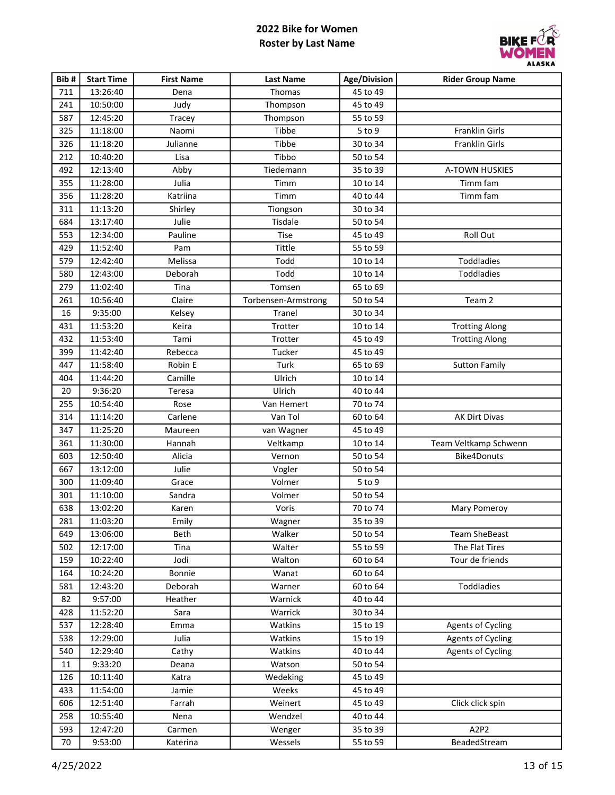

| Bib# | <b>Start Time</b> | <b>First Name</b> | <b>Last Name</b>    | Age/Division | <b>Rider Group Name</b>  |
|------|-------------------|-------------------|---------------------|--------------|--------------------------|
| 711  | 13:26:40          | Dena              | Thomas              | 45 to 49     |                          |
| 241  | 10:50:00          | Judy              | Thompson            | 45 to 49     |                          |
| 587  | 12:45:20          | Tracey            | Thompson            | 55 to 59     |                          |
| 325  | 11:18:00          | Naomi             | Tibbe               | $5$ to $9$   | Franklin Girls           |
| 326  | 11:18:20          | Julianne          | Tibbe               | 30 to 34     | Franklin Girls           |
| 212  | 10:40:20          | Lisa              | Tibbo               | 50 to 54     |                          |
| 492  | 12:13:40          | Abby              | Tiedemann           | 35 to 39     | A-TOWN HUSKIES           |
| 355  | 11:28:00          | Julia             | Timm                | 10 to 14     | Timm fam                 |
| 356  | 11:28:20          | Katriina          | Timm                | 40 to 44     | Timm fam                 |
| 311  | 11:13:20          | Shirley           | Tiongson            | 30 to 34     |                          |
| 684  | 13:17:40          | Julie             | Tisdale             | 50 to 54     |                          |
| 553  | 12:34:00          | Pauline           | Tise                | 45 to 49     | Roll Out                 |
| 429  | 11:52:40          | Pam               | Tittle              | 55 to 59     |                          |
| 579  | 12:42:40          | Melissa           | Todd                | 10 to 14     | Toddladies               |
| 580  | 12:43:00          | Deborah           | Todd                | 10 to 14     | Toddladies               |
| 279  | 11:02:40          | Tina              | Tomsen              | 65 to 69     |                          |
| 261  | 10:56:40          | Claire            | Torbensen-Armstrong | 50 to 54     | Team 2                   |
| 16   | 9:35:00           | Kelsey            | Tranel              | 30 to 34     |                          |
| 431  | 11:53:20          | Keira             | Trotter             | 10 to 14     | <b>Trotting Along</b>    |
| 432  | 11:53:40          | Tami              | Trotter             | 45 to 49     | <b>Trotting Along</b>    |
| 399  | 11:42:40          | Rebecca           | Tucker              | 45 to 49     |                          |
| 447  | 11:58:40          | Robin E           | Turk                | 65 to 69     | <b>Sutton Family</b>     |
| 404  | 11:44:20          | Camille           | Ulrich              | 10 to 14     |                          |
| 20   | 9:36:20           | Teresa            | Ulrich              | 40 to 44     |                          |
| 255  | 10:54:40          | Rose              | Van Hemert          | 70 to 74     |                          |
| 314  | 11:14:20          | Carlene           | Van Tol             | 60 to 64     | AK Dirt Divas            |
| 347  | 11:25:20          | Maureen           | van Wagner          | 45 to 49     |                          |
| 361  | 11:30:00          | Hannah            | Veltkamp            | 10 to 14     | Team Veltkamp Schwenn    |
| 603  | 12:50:40          | Alicia            | Vernon              | 50 to 54     | Bike4Donuts              |
| 667  | 13:12:00          | Julie             | Vogler              | 50 to 54     |                          |
| 300  | 11:09:40          | Grace             | Volmer              | $5$ to $9$   |                          |
| 301  | 11:10:00          | Sandra            | Volmer              | 50 to 54     |                          |
| 638  | 13:02:20          | Karen             | Voris               | 70 to 74     | Mary Pomeroy             |
| 281  | 11:03:20          | Emily             | Wagner              | 35 to 39     |                          |
| 649  | 13:06:00          | Beth              | Walker              | 50 to 54     | <b>Team SheBeast</b>     |
| 502  | 12:17:00          | Tina              | Walter              | 55 to 59     | The Flat Tires           |
| 159  | 10:22:40          | Jodi              | Walton              | 60 to 64     | Tour de friends          |
| 164  | 10:24:20          | Bonnie            | Wanat               | 60 to 64     |                          |
| 581  | 12:43:20          | Deborah           | Warner              | 60 to 64     | Toddladies               |
| 82   | 9:57:00           | Heather           | Warnick             | 40 to 44     |                          |
| 428  | 11:52:20          | Sara              | Warrick             | 30 to 34     |                          |
| 537  | 12:28:40          | Emma              | Watkins             | 15 to 19     | <b>Agents of Cycling</b> |
| 538  | 12:29:00          | Julia             | Watkins             | 15 to 19     | <b>Agents of Cycling</b> |
| 540  | 12:29:40          | Cathy             | Watkins             | 40 to 44     | <b>Agents of Cycling</b> |
| 11   | 9:33:20           | Deana             | Watson              | 50 to 54     |                          |
| 126  | 10:11:40          | Katra             | Wedeking            | 45 to 49     |                          |
| 433  | 11:54:00          | Jamie             | Weeks               | 45 to 49     |                          |
| 606  | 12:51:40          | Farrah            | Weinert             | 45 to 49     | Click click spin         |
| 258  | 10:55:40          | Nena              | Wendzel             | 40 to 44     |                          |
| 593  | 12:47:20          | Carmen            | Wenger              | 35 to 39     | A2P2                     |
| 70   | 9:53:00           | Katerina          | Wessels             | 55 to 59     | BeadedStream             |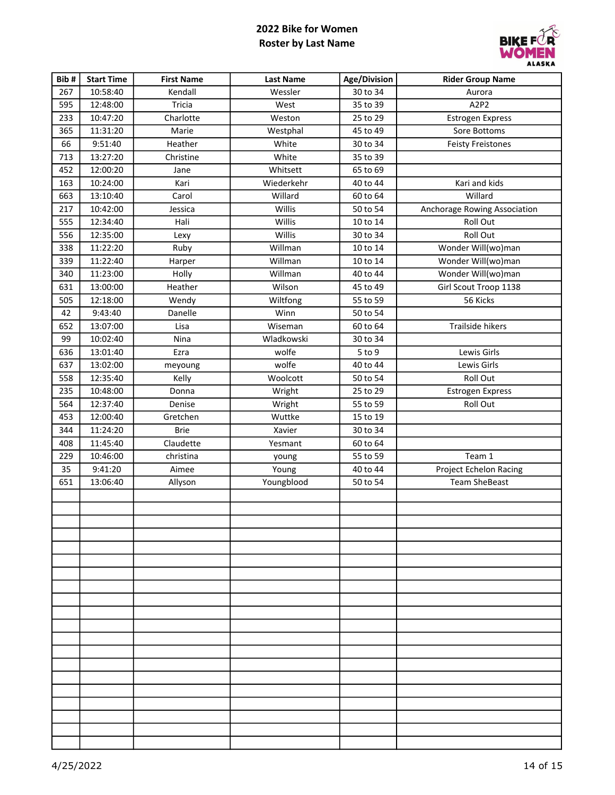

| Bib# | <b>Start Time</b> | <b>First Name</b> | <b>Last Name</b> | Age/Division | <b>Rider Group Name</b>      |
|------|-------------------|-------------------|------------------|--------------|------------------------------|
| 267  | 10:58:40          | Kendall           | Wessler          | 30 to 34     | Aurora                       |
| 595  | 12:48:00          | Tricia            | West             | 35 to 39     | A2P2                         |
| 233  | 10:47:20          | Charlotte         | Weston           | 25 to 29     | Estrogen Express             |
| 365  | 11:31:20          | Marie             | Westphal         | 45 to 49     | Sore Bottoms                 |
| 66   | 9:51:40           | Heather           | White            | 30 to 34     | <b>Feisty Freistones</b>     |
| 713  | 13:27:20          | Christine         | White            | 35 to 39     |                              |
| 452  | 12:00:20          | Jane              | Whitsett         | 65 to 69     |                              |
| 163  | 10:24:00          | Kari              | Wiederkehr       | 40 to 44     | Kari and kids                |
| 663  | 13:10:40          | Carol             | Willard          | 60 to 64     | Willard                      |
| 217  | 10:42:00          | Jessica           | Willis           | 50 to 54     | Anchorage Rowing Association |
| 555  | 12:34:40          | Hali              | Willis           | 10 to 14     | Roll Out                     |
| 556  | 12:35:00          | Lexy              | Willis           | 30 to 34     | Roll Out                     |
| 338  | 11:22:20          | Ruby              | Willman          | 10 to 14     | Wonder Will(wo)man           |
| 339  | 11:22:40          | Harper            | Willman          | 10 to 14     | Wonder Will(wo)man           |
| 340  | 11:23:00          | Holly             | Willman          | 40 to 44     | Wonder Will(wo)man           |
| 631  | 13:00:00          | Heather           | Wilson           | 45 to 49     | Girl Scout Troop 1138        |
| 505  | 12:18:00          | Wendy             | Wiltfong         | 55 to 59     | 56 Kicks                     |
| 42   | 9:43:40           | Danelle           | Winn             | 50 to 54     |                              |
| 652  | 13:07:00          | Lisa              | Wiseman          | 60 to 64     | Trailside hikers             |
| 99   | 10:02:40          | Nina              | Wladkowski       | 30 to 34     |                              |
| 636  | 13:01:40          | Ezra              | wolfe            | $5$ to $9$   | Lewis Girls                  |
| 637  | 13:02:00          | meyoung           | wolfe            | 40 to 44     | Lewis Girls                  |
| 558  | 12:35:40          | Kelly             | Woolcott         | 50 to 54     | Roll Out                     |
| 235  | 10:48:00          | Donna             | Wright           | 25 to 29     | Estrogen Express             |
| 564  | 12:37:40          | Denise            | Wright           | 55 to 59     | Roll Out                     |
| 453  | 12:00:40          | Gretchen          | Wuttke           | 15 to 19     |                              |
| 344  | 11:24:20          | <b>Brie</b>       | Xavier           | 30 to 34     |                              |
| 408  | 11:45:40          | Claudette         | Yesmant          | 60 to 64     |                              |
| 229  | 10:46:00          | christina         | young            | 55 to 59     | Team 1                       |
| 35   | 9:41:20           | Aimee             | Young            | 40 to 44     | Project Echelon Racing       |
| 651  | 13:06:40          | Allyson           | Youngblood       | 50 to 54     | <b>Team SheBeast</b>         |
|      |                   |                   |                  |              |                              |
|      |                   |                   |                  |              |                              |
|      |                   |                   |                  |              |                              |
|      |                   |                   |                  |              |                              |
|      |                   |                   |                  |              |                              |
|      |                   |                   |                  |              |                              |
|      |                   |                   |                  |              |                              |
|      |                   |                   |                  |              |                              |
|      |                   |                   |                  |              |                              |
|      |                   |                   |                  |              |                              |
|      |                   |                   |                  |              |                              |
|      |                   |                   |                  |              |                              |
|      |                   |                   |                  |              |                              |
|      |                   |                   |                  |              |                              |
|      |                   |                   |                  |              |                              |
|      |                   |                   |                  |              |                              |
|      |                   |                   |                  |              |                              |
|      |                   |                   |                  |              |                              |
|      |                   |                   |                  |              |                              |
|      |                   |                   |                  |              |                              |